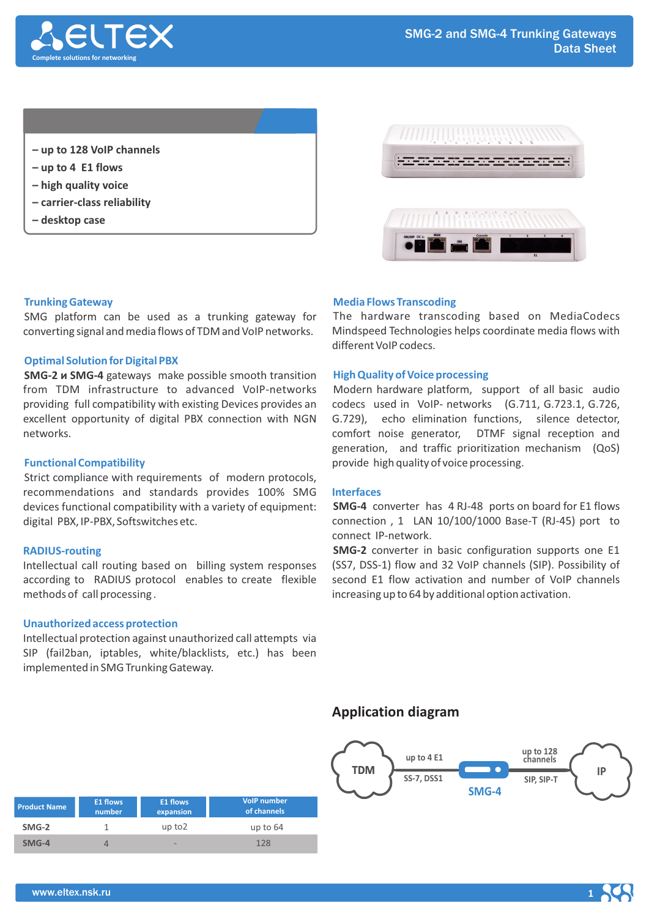

# **– up to 128 VoIP channels**

- **up to 4 E1 flows**
- **high quality voice**
- **сarrier-class reliability**
- **desktop case**



#### **Trunking Gateway**

SMG platform can be used as a trunking gateway for converting signal and media flows of TDM and VoIP networks.

#### **Optimal Solution for Digital PBX**

**SMG-2 и SMG-4** gateways make possible smooth transition from TDM infrastructure to advanced VoIP-networks providing full compatibility with existing Devices provides an excellent opportunity of digital PBX connection with NGN networks.

#### **Functional Compatibility**

Strict compliance with requirements of modern protocols, recommendations and standards provides 100% SMG devices functional compatibility with a variety of equipment: digital PBX, IP-PBX, Softswitches etc.

#### **RADIUS-routing**

Intellectual call routing based on billing system responses according to RADIUS protocol enables to create flexible methods of call processing .

#### **Unauthorized access protection**

Intellectual protection against unauthorized call attempts via SIP (fail2ban, iptables, white/blacklists, etc.) has been implemented in SMG Trunking Gateway.

#### **Media Flows Transcoding**

The hardware transcoding based on MediaCodecs Mindspeed Technologies helps coordinate media flows with different VoIP codecs.

#### **High Quality of Voice processing**

Modern hardware platform, support of all basic audio codecs used in VoIP- networks (G.711, G.723.1, G.726, G.729), echo elimination functions, silence detector, comfort noise generator, DTMF signal reception and generation, and traffic prioritization mechanism (QoS) provide high quality of voice processing.

#### **Interfaces**

**SMG-4** converter has 4 RJ-48 ports on board for E1 flows connection , 1 LAN 10/100/1000 Base-T (RJ-45) port to connect IP-network.

**SMG-2** converter in basic configuration supports one Е1 (SS7, DSS-1) flow and 32 VoIP channels (SIP). Possibility of second Е1 flow activation and number of VoIP channels increasing up to 64 by additional option activation.

> **SMG-4 IP SS-7, DSS1 SIP, SIP-T**

**up to 4 E1 up to<sup>128</sup>**

**channels**

# **Application diagram**

**TDM**



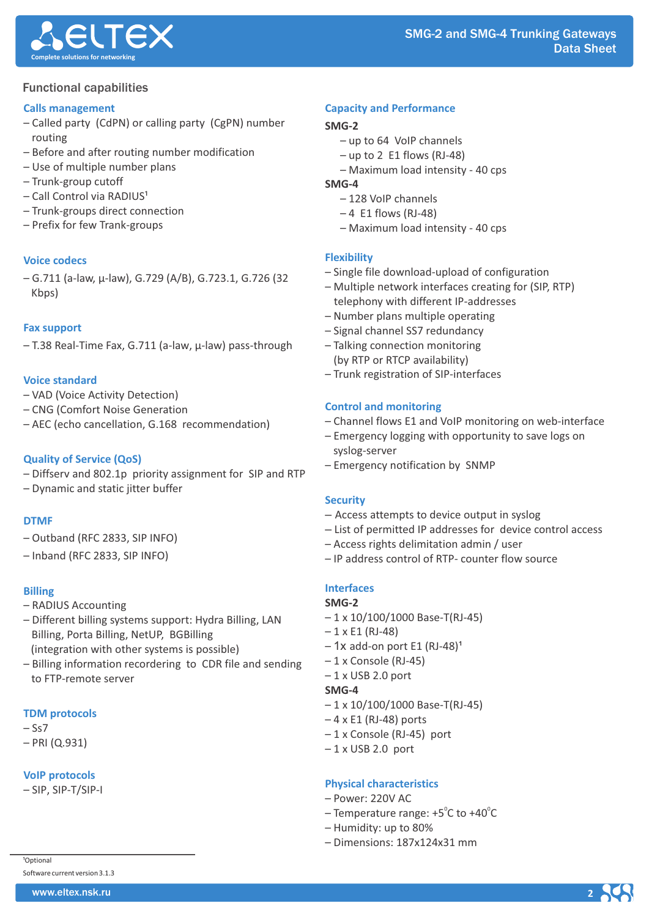

# Functional capabilities

## **Calls management**

- Called party (CdPN) or calling party (CgPN) number routing
- Before and after routing number modification
- Use of multiple number plans
- Trunk-group cutoff
- Call Control via RADIUS<sup>1</sup>
- Trunk-groups direct connection
- Prefix for few Trank-groups

## **Voice codecs**

– G.711 (a-law, µ-law), G.729 (A/B), G.723.1, G.726 (32 Kbps)

## **Fax support**

– T.38 Real-Time Fax, G.711 (a-law, µ-law) pass-through

## **Voice standard**

- VAD (Voice Activity Detection)
- CNG (Comfort Noise Generation
- AEC (echo cancellation, G.168 recommendation)

#### **Quality of Service (QoS)**

- Diffserv and 802.1р priority assignment for SIP and RTP
- Dynamic and static jitter buffer

## **DTMF**

- Outband (RFC 2833, SIP INFO)
- Inband (RFC 2833, SIP INFO)

## **Billing**

- RADIUS Accounting
- Different billing systems support: Hydra Billing, LAN Billing, Porta Billing, NetUP, BGBilling (integration with other systems is possible)
- Billing information recordering to CDR file and sending to FTP-remote server

## **TDM protocols**

 $-$  Ss $7$ 

<sup>1</sup>Optional

– PRI (Q.931)

## **VoIP protocols**

– SIP, SIP-T/SIP-I

#### **Capacity and Performance**

## **SMG-2**

- up to 64 VoIP channels
- $-$  up to 2 E1 flows (RJ-48)
- Maximum load intensity 40 cps

## **SMG-4**

- 128 VoIP channels
- $-4$  E1 flows (RJ-48)
- Maximum load intensity 40 cps

## **Flexibility**

- Single file download-upload of configuration
- Multiple network interfaces creating for (SIP, RTP) telephony with different IP-addresses
- Number plans multiple operating
- Signal channel SS7 redundancy
- Talking connection monitoring (by RTP or RTCP availability)
- Trunk registration of SIP-interfaces

## **Control and monitoring**

- Channel flows Е1 and VoIP monitoring on web-interface
- Emergency logging with opportunity to save logs on syslog-server
- Emergency notification by SNMP

## **Security**

- Access attempts to device output in syslog
- List of permitted IP addresses for device control access
- Access rights delimitation admin / user
- IP address control of RTP- counter flow source

## **Interfaces**

# **SMG-2**

- 1 x 10/100/1000 Base-T(RJ-45)
- $-1$  x E1 (RJ-48)
- $-1x$  add-on port E1 (RJ-48)<sup>1</sup>
- 1 x Console (RJ-45)
- $-1$  x USB 2.0 port

#### **SMG-4**

- $-1 \times 10/100/1000$  Base-T(RJ-45)
- $-4$  x E1 (RJ-48) ports
- 1 x Console (RJ-45) port
- $-1$  x USB 2.0 port

## **Physical characteristics**

- Power: 220V AC
- Temperature range: +5 $^{\circ}$ C to +40 $^{\circ}$ C
- Humidity: up to 80%
- Dimensions: 187х124х31 mm